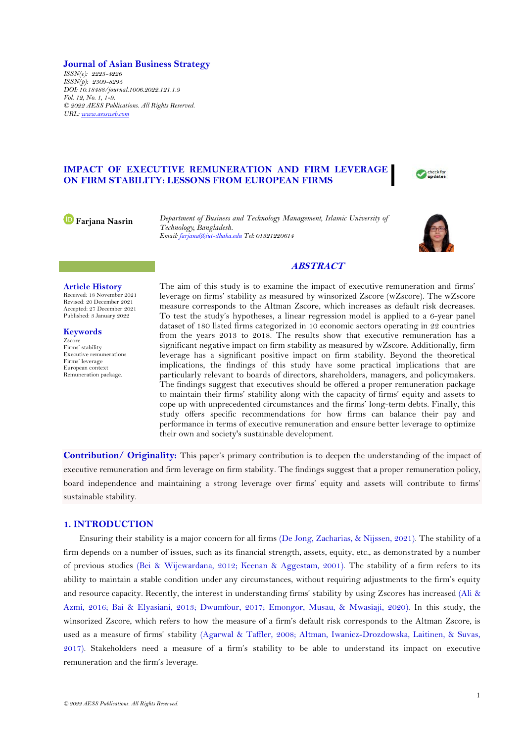### **Journal of Asian Business Strategy**

*ISSN(e): 2225-4226 ISSN(p): 2309-8295 DOI: 10.18488/journal.1006.2022.121.1.9 Vol. 12, No. 1, 1-9. © 2022 AESS Publications. All Rights Reserved. URL: [www.aessweb.com](http://www.aessweb.com/)*

# **IMPACT OF EXECUTIVE REMUNERATION AND FIRM LEVERAGE ON FIRM STABILITY: LESSONS FROM EUROPEAN FIRMS**



**Farjana Nasrin** *Department of Business and Technology Management, Islamic University of Technology, Bangladesh. Email[: farjana@iut-dhaka.edu](mailto:farjana@iut-dhaka.edu) Tel: 01521220614*



# **ABSTRACT**

## **Article History**

Received: 18 November 2021 Revised: 20 December 2021 Accepted: 27 December 2021 Published: 3 January 2022

**Keywords** Zscore Firms' stability Executive remunerations Firms' leverage European context Remuneration package.

The aim of this study is to examine the impact of executive remuneration and firms' leverage on firms' stability as measured by winsorized Zscore (wZscore). The wZscore measure corresponds to the Altman Zscore, which increases as default risk decreases. To test the study's hypotheses, a linear regression model is applied to a 6-year panel dataset of 180 listed firms categorized in 10 economic sectors operating in 22 countries from the years 2013 to 2018. The results show that executive remuneration has a significant negative impact on firm stability as measured by wZscore. Additionally, firm leverage has a significant positive impact on firm stability. Beyond the theoretical implications, the findings of this study have some practical implications that are particularly relevant to boards of directors, shareholders, managers, and policymakers. The findings suggest that executives should be offered a proper remuneration package to maintain their firms' stability along with the capacity of firms' equity and assets to cope up with unprecedented circumstances and the firms' long-term debts. Finally, this study offers specific recommendations for how firms can balance their pay and performance in terms of executive remuneration and ensure better leverage to optimize their own and society's sustainable development.

**Contribution/ Originality:** This paper's primary contribution is to deepen the understanding of the impact of executive remuneration and firm leverage on firm stability. The findings suggest that a proper remuneration policy, board independence and maintaining a strong leverage over firms' equity and assets will contribute to firms' sustainable stability.

### **1. INTRODUCTION**

Ensuring their stability is a major concern for all firms [\(De Jong, Zacharias,](#page-6-0) & Nijssen, 2021). The stability of a firm depends on a number of issues, such as its financial strength, assets, equity, etc., as demonstrated by a number of previous studies [\(Bei & Wijewardana, 2012;](#page-6-1) [Keenan & Aggestam, 2001\)](#page-7-0). The stability of a firm refers to its ability to maintain a stable condition under any circumstances, without requiring adjustments to the firm's equity and resource capacity. Recently, the interest in understanding firms' stability by using Zscores has increased [\(Ali &](#page-6-2)  [Azmi, 2016;](#page-6-2) [Bai & Elyasiani, 2013;](#page-6-3) [Dwumfour, 2017;](#page-6-4) [Emongor, Musau, & Mwasiaji, 2020\)](#page-7-1). In this study, the winsorized Zscore, which refers to how the measure of a firm's default risk corresponds to the Altman Zscore, is used as a measure of firms' stability [\(Agarwal & Taffler, 2008;](#page-5-0) [Altman, Iwanicz-Drozdowska, Laitinen, & Suvas,](#page-6-5)  [2017\)](#page-6-5). Stakeholders need a measure of a firm's stability to be able to understand its impact on executive remuneration and the firm's leverage.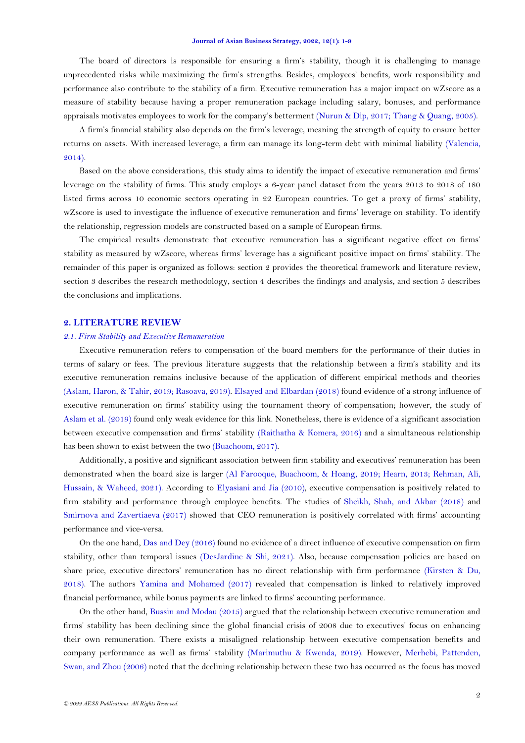The board of directors is responsible for ensuring a firm's stability, though it is challenging to manage unprecedented risks while maximizing the firm's strengths. Besides, employees' benefits, work responsibility and performance also contribute to the stability of a firm. Executive remuneration has a major impact on wZscore as a measure of stability because having a proper remuneration package including salary, bonuses, and performance appraisals motivates employees to work for the company's betterment [\(Nurun & Dip, 2017;](#page-7-2) [Thang & Quang, 2005\)](#page-8-0).

A firm's financial stability also depends on the firm's leverage, meaning the strength of equity to ensure better returns on assets. With increased leverage, a firm can manage its long-term debt with minimal liability [\(Valencia,](#page-8-1)  [2014\)](#page-8-1).

Based on the above considerations, this study aims to identify the impact of executive remuneration and firms' leverage on the stability of firms. This study employs a 6-year panel dataset from the years 2013 to 2018 of 180 listed firms across 10 economic sectors operating in 22 European countries. To get a proxy of firms' stability, wZscore is used to investigate the influence of executive remuneration and firms' leverage on stability. To identify the relationship, regression models are constructed based on a sample of European firms.

The empirical results demonstrate that executive remuneration has a significant negative effect on firms' stability as measured by wZscore, whereas firms' leverage has a significant positive impact on firms' stability. The remainder of this paper is organized as follows: section 2 provides the theoretical framework and literature review, section 3 describes the research methodology, section 4 describes the findings and analysis, and section 5 describes the conclusions and implications.

### **2. LITERATURE REVIEW**

#### *2.1. Firm Stability and Executive Remuneration*

Executive remuneration refers to compensation of the board members for the performance of their duties in terms of salary or fees. The previous literature suggests that the relationship between a firm's stability and its executive remuneration remains inclusive because of the application of different empirical methods and theories [\(Aslam, Haron, & Tahir, 2019;](#page-6-6) [Rasoava, 2019\)](#page-8-2). [Elsayed and Elbardan \(2018\)](#page-6-7) found evidence of a strong influence of executive remuneration on firms' stability using the tournament theory of compensation; however, the study of [Aslam et al. \(2019\)](#page-6-6) found only weak evidence for this link. Nonetheless, there is evidence of a significant association between executive compensation and firms' stability [\(Raithatha & Komera, 2016\)](#page-8-3) and a simultaneous relationship has been shown to exist between the two [\(Buachoom, 2017\)](#page-6-8).

Additionally, a positive and significant association between firm stability and executives' remuneration has been demonstrated when the board size is larger [\(Al Farooque, Buachoom, & Hoang, 2019;](#page-6-9) [Hearn, 2013;](#page-7-3) [Rehman, Ali,](#page-8-4)  [Hussain, & Waheed, 2021\)](#page-8-4). According to [Elyasiani and Jia \(2010\)](#page-7-4), executive compensation is positively related to firm stability and performance through employee benefits. The studies of [Sheikh, Shah, and Akbar \(2018\)](#page-8-5) and [Smirnova and Zavertiaeva \(2017\)](#page-8-6) showed that CEO remuneration is positively correlated with firms' accounting performance and vice-versa.

On the one hand, [Das and Dey \(2016\)](#page-6-10) found no evidence of a direct influence of executive compensation on firm stability, other than temporal issues [\(DesJardine & Shi, 2021\)](#page-6-11). Also, because compensation policies are based on share price, executive directors' remuneration has no direct relationship with firm performance [\(Kirsten & Du,](#page-7-5)  [2018\)](#page-7-5). The authors [Yamina and Mohamed \(2017\)](#page-8-7) revealed that compensation is linked to relatively improved financial performance, while bonus payments are linked to firms' accounting performance.

On the other hand, [Bussin and Modau \(2015\)](#page-6-12) argued that the relationship between executive remuneration and firms' stability has been declining since the global financial crisis of 2008 due to executives' focus on enhancing their own remuneration. There exists a misaligned relationship between executive compensation benefits and company performance as well as firms' stability [\(Marimuthu & Kwenda, 2019\)](#page-7-6). However, [Merhebi, Pattenden,](#page-7-7)  [Swan, and Zhou \(2006\)](#page-7-7) noted that the declining relationship between these two has occurred as the focus has moved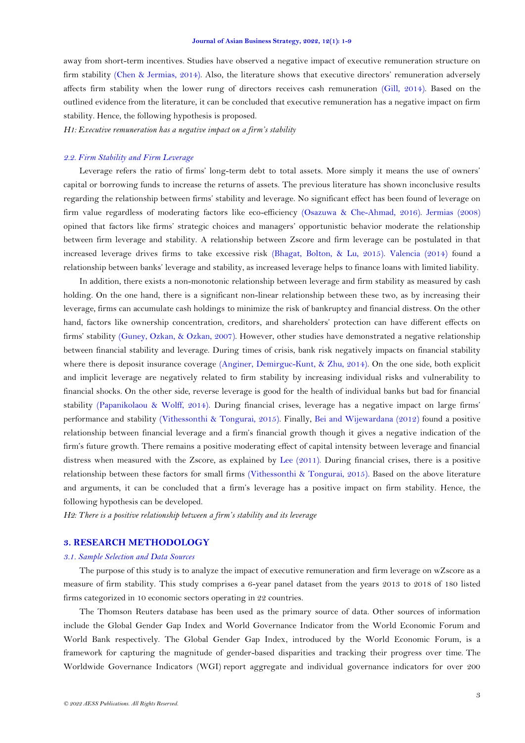away from short-term incentives. Studies have observed a negative impact of executive remuneration structure on firm stability [\(Chen & Jermias, 2014\)](#page-6-13). Also, the literature shows that executive directors' remuneration adversely affects firm stability when the lower rung of directors receives cash remuneration [\(Gill, 2014\)](#page-7-8). Based on the outlined evidence from the literature, it can be concluded that executive remuneration has a negative impact on firm stability. Hence, the following hypothesis is proposed.

*H1: Executive remuneration has a negative impact on a firm's stability*

#### *2.2. Firm Stability and Firm Leverage*

Leverage refers the ratio of firms' long-term debt to total assets. More simply it means the use of owners' capital or borrowing funds to increase the returns of assets. The previous literature has shown inconclusive results regarding the relationship between firms' stability and leverage. No significant effect has been found of leverage on firm value regardless of moderating factors like eco-efficiency [\(Osazuwa & Che-Ahmad, 2016\)](#page-8-8). [Jermias \(2008\)](#page-7-9) opined that factors like firms' strategic choices and managers' opportunistic behavior moderate the relationship between firm leverage and stability. A relationship between Zscore and firm leverage can be postulated in that increased leverage drives firms to take excessive risk [\(Bhagat, Bolton, & Lu, 2015\)](#page-6-14). [Valencia \(2014\)](#page-8-1) found a relationship between banks' leverage and stability, as increased leverage helps to finance loans with limited liability.

In addition, there exists a non-monotonic relationship between leverage and firm stability as measured by cash holding. On the one hand, there is a significant non-linear relationship between these two, as by increasing their leverage, firms can accumulate cash holdings to minimize the risk of bankruptcy and financial distress. On the other hand, factors like ownership concentration, creditors, and shareholders' protection can have different effects on firms' stability [\(Guney, Ozkan, & Ozkan, 2007\)](#page-7-10). However, other studies have demonstrated a negative relationship between financial stability and leverage. During times of crisis, bank risk negatively impacts on financial stability where there is deposit insurance coverage [\(Anginer, Demirguc-Kunt, & Zhu, 2014\)](#page-6-15). On the one side, both explicit and implicit leverage are negatively related to firm stability by increasing individual risks and vulnerability to financial shocks. On the other side, reverse leverage is good for the health of individual banks but bad for financial stability [\(Papanikolaou & Wolff, 2014\)](#page-8-9). During financial crises, leverage has a negative impact on large firms' performance and stability [\(Vithessonthi & Tongurai, 2015\)](#page-8-10). Finally, [Bei and Wijewardana \(2012\)](#page-6-1) found a positive relationship between financial leverage and a firm's financial growth though it gives a negative indication of the firm's future growth. There remains a positive moderating effect of capital intensity between leverage and financial distress when measured with the Zscore, as explained by [Lee \(2011\)](#page-7-11). During financial crises, there is a positive relationship between these factors for small firms [\(Vithessonthi & Tongurai, 2015\)](#page-8-10). Based on the above literature and arguments, it can be concluded that a firm's leverage has a positive impact on firm stability. Hence, the following hypothesis can be developed.

*H2: There is a positive relationship between a firm's stability and its leverage*

## **3. RESEARCH METHODOLOGY**

## *3.1. Sample Selection and Data Sources*

The purpose of this study is to analyze the impact of executive remuneration and firm leverage on wZscore as a measure of firm stability. This study comprises a 6-year panel dataset from the years 2013 to 2018 of 180 listed firms categorized in 10 economic sectors operating in 22 countries.

The Thomson Reuters database has been used as the primary source of data. Other sources of information include the Global Gender Gap Index and World Governance Indicator from the World Economic Forum and World Bank respectively. The Global Gender Gap Index, introduced by the World Economic Forum, is a framework for capturing the magnitude of gender-based disparities and tracking their progress over time. The Worldwide Governance Indicators (WGI) report aggregate and individual governance indicators for over 200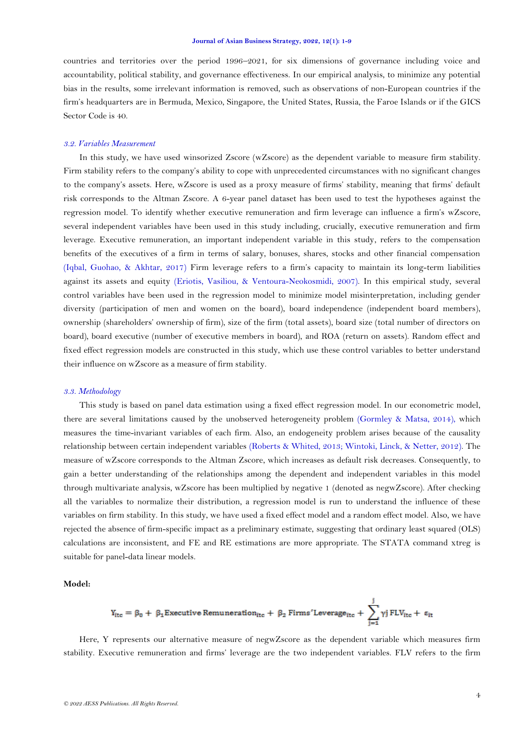countries and territories over the period 1996–2021, for six dimensions of governance including voice and accountability, political stability, and governance effectiveness. In our empirical analysis, to minimize any potential bias in the results, some irrelevant information is removed, such as observations of non-European countries if the firm's headquarters are in Bermuda, Mexico, Singapore, the United States, Russia, the Faroe Islands or if the GICS Sector Code is 40.

### *3.2. Variables Measurement*

In this study, we have used winsorized Zscore (wZscore) as the dependent variable to measure firm stability. Firm stability refers to the company's ability to cope with unprecedented circumstances with no significant changes to the company's assets. Here, wZscore is used as a proxy measure of firms' stability, meaning that firms' default risk corresponds to the Altman Zscore. A 6-year panel dataset has been used to test the hypotheses against the regression model. To identify whether executive remuneration and firm leverage can influence a firm's wZscore, several independent variables have been used in this study including, crucially, executive remuneration and firm leverage. Executive remuneration, an important independent variable in this study, refers to the compensation benefits of the executives of a firm in terms of salary, bonuses, shares, stocks and other financial compensation [\(Iqbal, Guohao, & Akhtar, 2017\)](#page-7-12) Firm leverage refers to a firm's capacity to maintain its long-term liabilities against its assets and equity [\(Eriotis, Vasiliou, & Ventoura-Neokosmidi,](#page-7-13) 2007). In this empirical study, several control variables have been used in the regression model to minimize model misinterpretation, including gender diversity (participation of men and women on the board), board independence (independent board members), ownership (shareholders' ownership of firm), size of the firm (total assets), board size (total number of directors on board), board executive (number of executive members in board), and ROA (return on assets). Random effect and fixed effect regression models are constructed in this study, which use these control variables to better understand their influence on wZscore as a measure of firm stability.

### *3.3. Methodology*

This study is based on panel data estimation using a fixed effect regression model. In our econometric model, there are several limitations caused by the unobserved heterogeneity problem [\(Gormley & Matsa, 2014\)](#page-7-14), which measures the time-invariant variables of each firm. Also, an endogeneity problem arises because of the causality relationship between certain independent variables [\(Roberts & Whited, 2013;](#page-8-11) [Wintoki, Linck, & Netter, 2012\)](#page-8-12). The measure of wZscore corresponds to the Altman Zscore, which increases as default risk decreases. Consequently, to gain a better understanding of the relationships among the dependent and independent variables in this model through multivariate analysis, wZscore has been multiplied by negative 1 (denoted as negwZscore). After checking all the variables to normalize their distribution, a regression model is run to understand the influence of these variables on firm stability. In this study, we have used a fixed effect model and a random effect model. Also, we have rejected the absence of firm-specific impact as a preliminary estimate, suggesting that ordinary least squared (OLS) calculations are inconsistent, and FE and RE estimations are more appropriate. The STATA command xtreg is suitable for panel-data linear models.

### **Model:**

$$
Y_{itc} = \beta_0 + \ \beta_1\text{Execute Remuneration}_{itc} + \ \beta_2\ \text{Firms}' \text{Leverage}_{itc} + \ \sum_{j=1}^j \gamma j\ \text{FLV}_{itc} + \ \epsilon_{it}
$$

Here, Y represents our alternative measure of negwZscore as the dependent variable which measures firm stability. Executive remuneration and firms' leverage are the two independent variables. FLV refers to the firm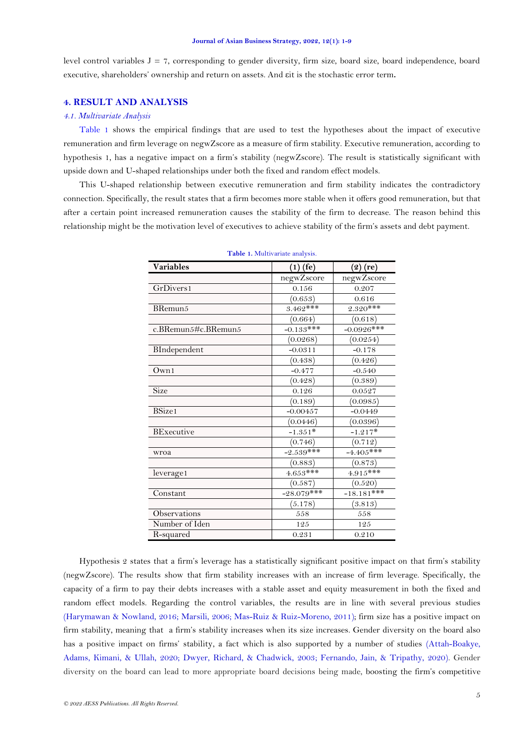level control variables  $J = 7$ , corresponding to gender diversity, firm size, board size, board independence, board executive, shareholders' ownership and return on assets. And εit is the stochastic error term**.**

# **4. RESULT AND ANALYSIS**

#### *4.1. Multivariate Analysis*

[Table 1](#page-4-0) shows the empirical findings that are used to test the hypotheses about the impact of executive remuneration and firm leverage on negwZscore as a measure of firm stability. Executive remuneration, according to hypothesis 1, has a negative impact on a firm's stability (negwZscore). The result is statistically significant with upside down and U-shaped relationships under both the fixed and random effect models.

<span id="page-4-0"></span>This U-shaped relationship between executive remuneration and firm stability indicates the contradictory connection. Specifically, the result states that a firm becomes more stable when it offers good remuneration, but that after a certain point increased remuneration causes the stability of the firm to decrease. The reason behind this relationship might be the motivation level of executives to achieve stability of the firm's assets and debt payment.

| Variables                  | $(1)$ (fe)   | $(2)$ (re)   |
|----------------------------|--------------|--------------|
|                            | negwZscore   | negwZscore   |
| GrDivers1                  | 0.156        | 0.207        |
|                            | (0.653)      | 0.616        |
| BRemun <sub>5</sub>        | $3.462***$   | $2.320***$   |
|                            | (0.664)      | (0.618)      |
| c.BRemun $5#c$ .BRemun $5$ | $-0.133***$  | $-0.0926***$ |
|                            | (0.0268)     | (0.0254)     |
| BIndependent               | $-0.0311$    | $-0.178$     |
|                            | (0.438)      | (0.426)      |
| Own1                       | $-0.477$     | $-0.540$     |
|                            | (0.428)      | (0.389)      |
| Size                       | 0.126        | 0.0527       |
|                            | (0.189)      | (0.0985)     |
| BSize1                     | $-0.00457$   | $-0.0449$    |
|                            | (0.0446)     | (0.0396)     |
| BExecutive                 | $-1.351*$    | $-1.217*$    |
|                            | (0.746)      | (0.712)      |
| wroa                       | $-2.539***$  | $-4.405***$  |
|                            | (0.883)      | (0.873)      |
| leverage1                  | $4.653***$   | $4.915***$   |
|                            | (0.587)      | (0.520)      |
| Constant                   | $-28.079***$ | $-18.181***$ |
|                            | (5.178)      | (3.813)      |
| Observations               | 558          | 558          |
| Number of Iden             | 125          | 125          |
| R-squared                  | 0.231        | 0.210        |

**Table 1.** Multivariate analysis.

Hypothesis 2 states that a firm's leverage has a statistically significant positive impact on that firm's stability (negwZscore). The results show that firm stability increases with an increase of firm leverage. Specifically, the capacity of a firm to pay their debts increases with a stable asset and equity measurement in both the fixed and random effect models. Regarding the control variables, the results are in line with several previous studies [\(Harymawan & Nowland, 2016;](#page-7-15) [Marsili, 2006;](#page-7-16) [Mas-Ruiz & Ruiz-Moreno, 2011\)](#page-7-17); firm size has a positive impact on firm stability, meaning that a firm's stability increases when its size increases. Gender diversity on the board also has a positive impact on firms' stability, a fact which is also supported by a number of studies [\(Attah-Boakye,](#page-6-16)  [Adams, Kimani, & Ullah, 2020;](#page-6-16) [Dwyer, Richard, & Chadwick, 2003;](#page-6-17) [Fernando, Jain, & Tripathy, 2020\)](#page-7-18). Gender diversity on the board can lead to more appropriate board decisions being made, boosting the firm's competitive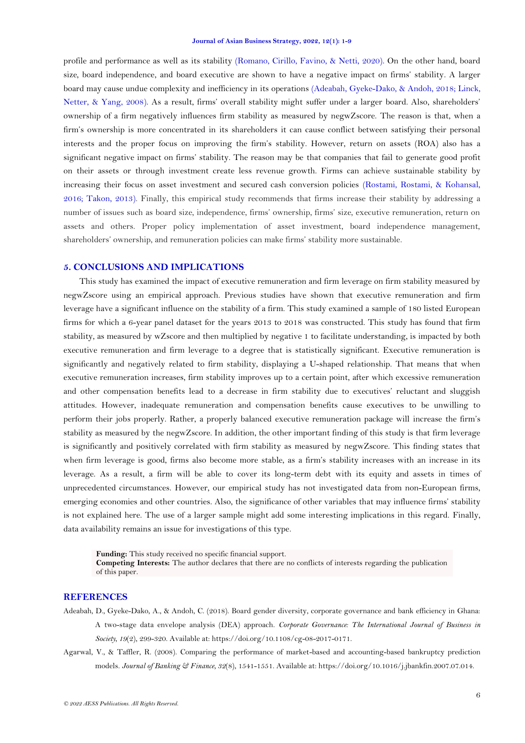profile and performance as well as its stability [\(Romano, Cirillo, Favino, & Netti, 2020\)](#page-8-13). On the other hand, board size, board independence, and board executive are shown to have a negative impact on firms' stability. A larger board may cause undue complexity and inefficiency in its operations [\(Adeabah, Gyeke-Dako, & Andoh, 2018;](#page-5-1) [Linck,](#page-7-19)  [Netter, & Yang, 2008\)](#page-7-19). As a result, firms' overall stability might suffer under a larger board. Also, shareholders' ownership of a firm negatively influences firm stability as measured by negwZscore. The reason is that, when a firm's ownership is more concentrated in its shareholders it can cause conflict between satisfying their personal interests and the proper focus on improving the firm's stability. However, return on assets (ROA) also has a significant negative impact on firms' stability. The reason may be that companies that fail to generate good profit on their assets or through investment create less revenue growth. Firms can achieve sustainable stability by increasing their focus on asset investment and secured cash conversion policies [\(Rostami, Rostami, & Kohansal,](#page-8-14)  [2016;](#page-8-14) [Takon, 2013\)](#page-8-15). Finally, this empirical study recommends that firms increase their stability by addressing a number of issues such as board size, independence, firms' ownership, firms' size, executive remuneration, return on assets and others. Proper policy implementation of asset investment, board independence management, shareholders' ownership, and remuneration policies can make firms' stability more sustainable.

### **5. CONCLUSIONS AND IMPLICATIONS**

This study has examined the impact of executive remuneration and firm leverage on firm stability measured by negwZscore using an empirical approach. Previous studies have shown that executive remuneration and firm leverage have a significant influence on the stability of a firm. This study examined a sample of 180 listed European firms for which a 6-year panel dataset for the years 2013 to 2018 was constructed. This study has found that firm stability, as measured by wZscore and then multiplied by negative 1 to facilitate understanding, is impacted by both executive remuneration and firm leverage to a degree that is statistically significant. Executive remuneration is significantly and negatively related to firm stability, displaying a U-shaped relationship. That means that when executive remuneration increases, firm stability improves up to a certain point, after which excessive remuneration and other compensation benefits lead to a decrease in firm stability due to executives' reluctant and sluggish attitudes. However, inadequate remuneration and compensation benefits cause executives to be unwilling to perform their jobs properly. Rather, a properly balanced executive remuneration package will increase the firm's stability as measured by the negwZscore. In addition, the other important finding of this study is that firm leverage is significantly and positively correlated with firm stability as measured by negwZscore. This finding states that when firm leverage is good, firms also become more stable, as a firm's stability increases with an increase in its leverage. As a result, a firm will be able to cover its long-term debt with its equity and assets in times of unprecedented circumstances. However, our empirical study has not investigated data from non-European firms, emerging economies and other countries. Also, the significance of other variables that may influence firms' stability is not explained here. The use of a larger sample might add some interesting implications in this regard. Finally, data availability remains an issue for investigations of this type.

**Funding:** This study received no specific financial support. **Competing Interests:** The author declares that there are no conflicts of interests regarding the publication of this paper.

### **REFERENCES**

- <span id="page-5-1"></span>Adeabah, D., Gyeke-Dako, A., & Andoh, C. (2018). Board gender diversity, corporate governance and bank efficiency in Ghana: A two-stage data envelope analysis (DEA) approach. *Corporate Governance: The International Journal of Business in Society, 19*(2), 299-320. Available at: https://doi.org/10.1108/cg-08-2017-0171.
- <span id="page-5-0"></span>Agarwal, V., & Taffler, R. (2008). Comparing the performance of market-based and accounting-based bankruptcy prediction models. *Journal of Banking & Finance, 32*(8), 1541-1551. Available at: https://doi.org/10.1016/j.jbankfin.2007.07.014.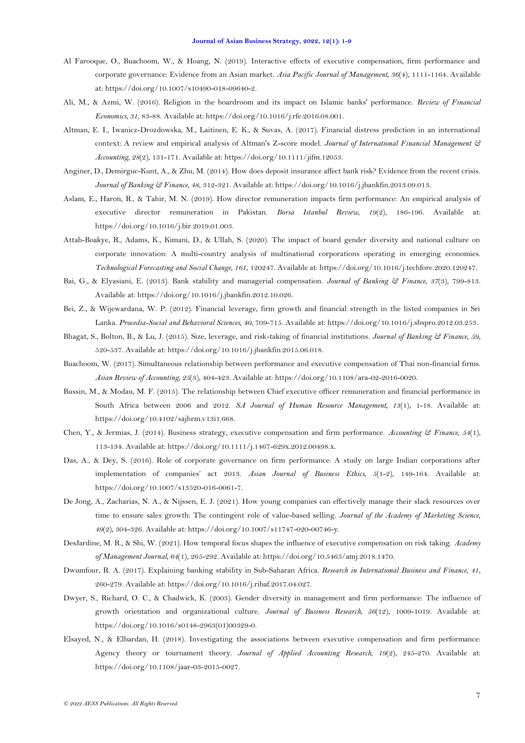- <span id="page-6-9"></span>Al Farooque, O., Buachoom, W., & Hoang, N. (2019). Interactive effects of executive compensation, firm performance and corporate governance: Evidence from an Asian market. *Asia Pacific Journal of Management, 36*(4), 1111-1164. Available at: https://doi.org/10.1007/s10490-018-09640-2.
- <span id="page-6-2"></span>Ali, M., & Azmi, W. (2016). Religion in the boardroom and its impact on Islamic banks' performance. *Review of Financial Economics, 31*, 83-88. Available at: https://doi.org/10.1016/j.rfe.2016.08.001.
- <span id="page-6-5"></span>Altman, E. I., Iwanicz-Drozdowska, M., Laitinen, E. K., & Suvas, A. (2017). Financial distress prediction in an international context: A review and empirical analysis of Altman's Z-score model. *Journal of International Financial Management & Accounting, 28*(2), 131-171. Available at: https://doi.org/10.1111/jifm.12053.
- <span id="page-6-15"></span>Anginer, D., Demirguc-Kunt, A., & Zhu, M. (2014). How does deposit insurance affect bank risk? Evidence from the recent crisis. *Journal of Banking & Finance, 48*, 312-321. Available at: https://doi.org/10.1016/j.jbankfin.2013.09.013.
- <span id="page-6-6"></span>Aslam, E., Haron, R., & Tahir, M. N. (2019). How director remuneration impacts firm performance: An empirical analysis of executive director remuneration in Pakistan. *Borsa Istanbul Review, 19*(2), 186-196. Available at: https://doi.org/10.1016/j.bir.2019.01.003.
- <span id="page-6-16"></span>Attah-Boakye, R., Adams, K., Kimani, D., & Ullah, S. (2020). The impact of board gender diversity and national culture on corporate innovation: A multi-country analysis of multinational corporations operating in emerging economies. *Technological Forecasting and Social Change, 161*, 120247. Available at: https://doi.org/10.1016/j.techfore.2020.120247.
- <span id="page-6-3"></span>Bai, G., & Elyasiani, E. (2013). Bank stability and managerial compensation. *Journal of Banking & Finance, 37*(3), 799-813. Available at: https://doi.org/10.1016/j.jbankfin.2012.10.026.
- <span id="page-6-1"></span>Bei, Z., & Wijewardana, W. P. (2012). Financial leverage, firm growth and financial strength in the listed companies in Sri Lanka. *Procedia-Social and Behavioral Sciences, 40*, 709-715. Available at: https://doi.org/10.1016/j.sbspro.2012.03.253.
- <span id="page-6-14"></span>Bhagat, S., Bolton, B., & Lu, J. (2015). Size, leverage, and risk-taking of financial institutions. *Journal of Banking & Finance, 59*, 520-537. Available at: https://doi.org/10.1016/j.jbankfin.2015.06.018.
- <span id="page-6-8"></span>Buachoom, W. (2017). Simultaneous relationship between performance and executive compensation of Thai non-financial firms. *Asian Review of Accounting, 25*(3), 404-423. Available at: https://doi.org/10.1108/ara-02-2016-0020.
- <span id="page-6-12"></span>Bussin, M., & Modau, M. F. (2015). The relationship between Chief executive officer remuneration and financial performance in South Africa between 2006 and 2012. *SA Journal of Human Resource Management, 13*(1), 1-18. Available at: https://doi.org/10.4102/sajhrm.v13i1.668.
- <span id="page-6-13"></span>Chen, Y., & Jermias, J. (2014). Business strategy, executive compensation and firm performance. *Accounting & Finance, 54*(1), 113-134. Available at: https://doi.org/10.1111/j.1467-629x.2012.00498.x.
- <span id="page-6-10"></span>Das, A., & Dey, S. (2016). Role of corporate governance on firm performance: A study on large Indian corporations after implementation of companies' act 2013. *Asian Journal of Business Ethics, 5*(1-2), 149-164. Available at: https://doi.org/10.1007/s13520-016-0061-7.
- <span id="page-6-0"></span>De Jong, A., Zacharias, N. A., & Nijssen, E. J. (2021). How young companies can effectively manage their slack resources over time to ensure sales growth: The contingent role of value-based selling. *Journal of the Academy of Marketing Science, 49*(2), 304-326. Available at: https://doi.org/10.1007/s11747-020-00746-y.
- <span id="page-6-11"></span>DesJardine, M. R., & Shi, W. (2021). How temporal focus shapes the influence of executive compensation on risk taking. *Academy of Management Journal, 64*(1), 265-292. Available at: https://doi.org/10.5465/amj.2018.1470.
- <span id="page-6-4"></span>Dwumfour, R. A. (2017). Explaining banking stability in Sub-Saharan Africa. *Research in International Business and Finance, 41*, 260-279. Available at: https://doi.org/10.1016/j.ribaf.2017.04.027.
- <span id="page-6-17"></span>Dwyer, S., Richard, O. C., & Chadwick, K. (2003). Gender diversity in management and firm performance: The influence of growth orientation and organizational culture. *Journal of Business Research, 56*(12), 1009-1019. Available at: https://doi.org/10.1016/s0148-2963(01)00329-0.
- <span id="page-6-7"></span>Elsayed, N., & Elbardan, H. (2018). Investigating the associations between executive compensation and firm performance: Agency theory or tournament theory. *Journal of Applied Accounting Research, 19*(2), 245-270. Available at: https://doi.org/10.1108/jaar-03-2015-0027.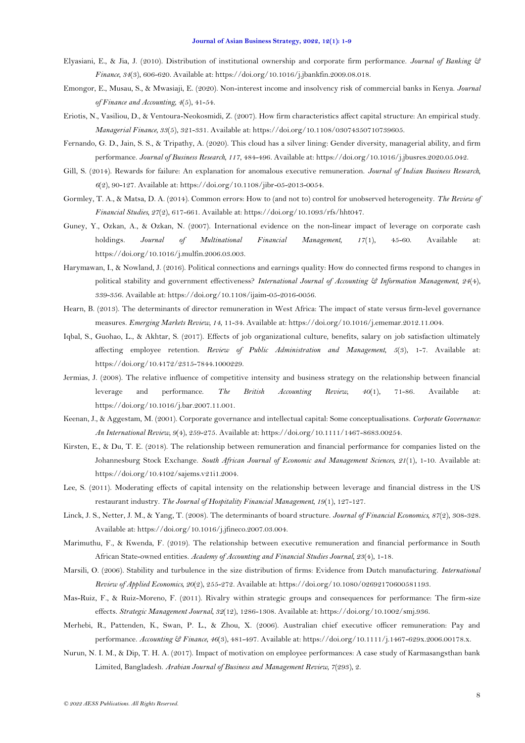- <span id="page-7-4"></span>Elyasiani, E., & Jia, J. (2010). Distribution of institutional ownership and corporate firm performance. *Journal of Banking & Finance, 34*(3), 606-620. Available at: https://doi.org/10.1016/j.jbankfin.2009.08.018.
- <span id="page-7-1"></span>Emongor, E., Musau, S., & Mwasiaji, E. (2020). Non-interest income and insolvency risk of commercial banks in Kenya. *Journal of Finance and Accounting, 4*(5), 41-54.
- <span id="page-7-13"></span>Eriotis, N., Vasiliou, D., & Ventoura-Neokosmidi, Z. (2007). How firm characteristics affect capital structure: An empirical study. *Managerial Finance, 33*(5), 321-331. Available at: https://doi.org/10.1108/03074350710739605.
- <span id="page-7-18"></span>Fernando, G. D., Jain, S. S., & Tripathy, A. (2020). This cloud has a silver lining: Gender diversity, managerial ability, and firm performance. *Journal of Business Research, 117*, 484-496. Available at: https://doi.org/10.1016/j.jbusres.2020.05.042.
- <span id="page-7-8"></span>Gill, S. (2014). Rewards for failure: An explanation for anomalous executive remuneration. *Journal of Indian Business Research, 6*(2), 90-127. Available at: https://doi.org/10.1108/jibr-05-2013-0054.
- <span id="page-7-14"></span>Gormley, T. A., & Matsa, D. A. (2014). Common errors: How to (and not to) control for unobserved heterogeneity. *The Review of Financial Studies, 27*(2), 617-661. Available at: https://doi.org/10.1093/rfs/hht047.
- <span id="page-7-10"></span>Guney, Y., Ozkan, A., & Ozkan, N. (2007). International evidence on the non-linear impact of leverage on corporate cash holdings. *Journal of Multinational Financial Management, 17*(1), 45-60. Available at: https://doi.org/10.1016/j.mulfin.2006.03.003.
- <span id="page-7-15"></span>Harymawan, I., & Nowland, J. (2016). Political connections and earnings quality: How do connected firms respond to changes in political stability and government effectiveness? *International Journal of Accounting & Information Management, 24*(4), 339-356. Available at: https://doi.org/10.1108/ijaim-05-2016-0056.
- <span id="page-7-3"></span>Hearn, B. (2013). The determinants of director remuneration in West Africa: The impact of state versus firm-level governance measures. *Emerging Markets Review, 14*, 11-34. Available at: https://doi.org/10.1016/j.ememar.2012.11.004.
- <span id="page-7-12"></span>Iqbal, S., Guohao, L., & Akhtar, S. (2017). Effects of job organizational culture, benefits, salary on job satisfaction ultimately affecting employee retention. *Review of Public Administration and Management, 5*(3), 1-7. Available at: https://doi.org/10.4172/2315-7844.1000229.
- <span id="page-7-9"></span>Jermias, J. (2008). The relative influence of competitive intensity and business strategy on the relationship between financial leverage and performance. *The British Accounting Review, 40*(1), 71-86. Available at: https://doi.org/10.1016/j.bar.2007.11.001.
- <span id="page-7-0"></span>Keenan, J., & Aggestam, M. (2001). Corporate governance and intellectual capital: Some conceptualisations. *Corporate Governance: An International Review, 9*(4), 259-275. Available at: https://doi.org/10.1111/1467-8683.00254.
- <span id="page-7-5"></span>Kirsten, E., & Du, T. E. (2018). The relationship between remuneration and financial performance for companies listed on the Johannesburg Stock Exchange. *South African Journal of Economic and Management Sciences, 21*(1), 1-10. Available at: https://doi.org/10.4102/sajems.v21i1.2004.
- <span id="page-7-11"></span>Lee, S. (2011). Moderating effects of capital intensity on the relationship between leverage and financial distress in the US restaurant industry. *The Journal of Hospitality Financial Management, 19*(1), 127-127.
- <span id="page-7-19"></span>Linck, J. S., Netter, J. M., & Yang, T. (2008). The determinants of board structure. *Journal of Financial Economics, 87*(2), 308-328. Available at: https://doi.org/10.1016/j.jfineco.2007.03.004.
- <span id="page-7-6"></span>Marimuthu, F., & Kwenda, F. (2019). The relationship between executive remuneration and financial performance in South African State-owned entities. *Academy of Accounting and Financial Studies Journal, 23*(4), 1-18.
- <span id="page-7-16"></span>Marsili, O. (2006). Stability and turbulence in the size distribution of firms: Evidence from Dutch manufacturing. *International Review of Applied Economics, 20*(2), 255-272. Available at: https://doi.org/10.1080/02692170600581193.
- <span id="page-7-17"></span>Mas-Ruiz, F., & Ruiz-Moreno, F. (2011). Rivalry within strategic groups and consequences for performance: The firm-size effects. *Strategic Management Journal, 32*(12), 1286-1308. Available at: https://doi.org/10.1002/smj.936.
- <span id="page-7-7"></span>Merhebi, R., Pattenden, K., Swan, P. L., & Zhou, X. (2006). Australian chief executive officer remuneration: Pay and performance. *Accounting & Finance, 46*(3), 481-497. Available at: https://doi.org/10.1111/j.1467-629x.2006.00178.x.
- <span id="page-7-2"></span>Nurun, N. I. M., & Dip, T. H. A. (2017). Impact of motivation on employee performances: A case study of Karmasangsthan bank Limited, Bangladesh. *Arabian Journal of Business and Management Review, 7*(293), 2.